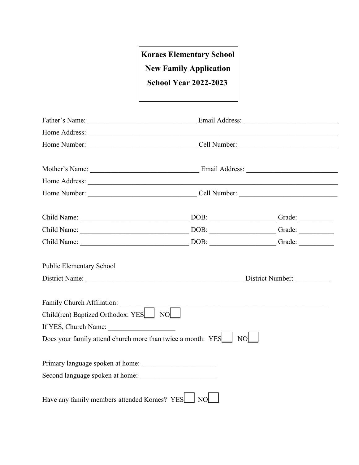**Koraes Elementary School New Family Application School Year 2022-2023**

| <b>Public Elementary School</b>                                                           |                                                                                                                       |  |  |  |
|-------------------------------------------------------------------------------------------|-----------------------------------------------------------------------------------------------------------------------|--|--|--|
|                                                                                           |                                                                                                                       |  |  |  |
| Family Church Affiliation:<br>$\text{Child}(\text{ren})$ Baptized Orthodox: YES $\Box$ NO | <u> 1989 - Johann Stoff, deutscher Stoff, der Stoff, der Stoff, der Stoff, der Stoff, der Stoff, der Stoff, der S</u> |  |  |  |
| If YES, Church Name:                                                                      |                                                                                                                       |  |  |  |
| Does your family attend church more than twice a month: YES<br>NO.                        |                                                                                                                       |  |  |  |
|                                                                                           |                                                                                                                       |  |  |  |
| Second language spoken at home:                                                           |                                                                                                                       |  |  |  |
| Have any family members attended Koraes? YES                                              | N <sub>O</sub>                                                                                                        |  |  |  |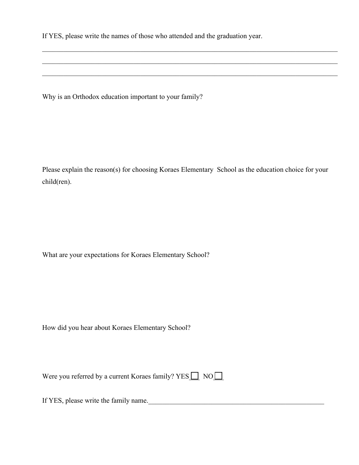If YES, please write the names of those who attended and the graduation year.

Why is an Orthodox education important to your family?

Please explain the reason(s) for choosing Koraes Elementary School as the education choice for your child(ren).

\_\_\_\_\_\_\_\_\_\_\_\_\_\_\_\_\_\_\_\_\_\_\_\_\_\_\_\_\_\_\_\_\_\_\_\_\_\_\_\_\_\_\_\_\_\_\_\_\_\_\_\_\_\_\_\_\_\_\_\_\_\_\_\_\_\_\_\_\_\_\_\_\_\_\_\_\_\_\_\_\_\_\_\_

\_\_\_\_\_\_\_\_\_\_\_\_\_\_\_\_\_\_\_\_\_\_\_\_\_\_\_\_\_\_\_\_\_\_\_\_\_\_\_\_\_\_\_\_\_\_\_\_\_\_\_\_\_\_\_\_\_\_\_\_\_\_\_\_\_\_\_\_\_\_\_\_\_\_\_\_\_\_\_\_\_\_\_\_

What are your expectations for Koraes Elementary School?

How did you hear about Koraes Elementary School?

Were you referred by a current Koraes family? YES  $\Box$  NO $\Box$ 

If YES, please write the family name.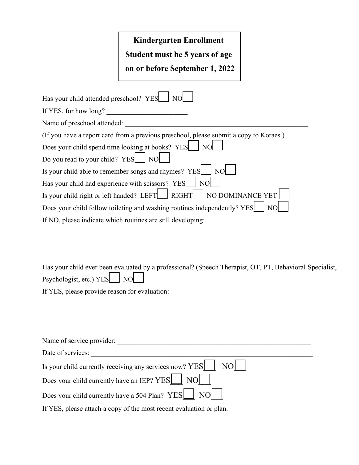|                                                                                        | <b>Kindergarten Enrollment</b><br>Student must be 5 years of age<br>on or before September 1, 2022 |  |
|----------------------------------------------------------------------------------------|----------------------------------------------------------------------------------------------------|--|
| Has your child attended preschool? YES                                                 |                                                                                                    |  |
| If YES, for how long?                                                                  |                                                                                                    |  |
| Name of preschool attended:                                                            |                                                                                                    |  |
| (If you have a report card from a previous preschool, please submit a copy to Koraes.) |                                                                                                    |  |
| Does your child spend time looking at books? YES                                       |                                                                                                    |  |
| Do you read to your child? YES                                                         |                                                                                                    |  |
| Is your child able to remember songs and rhymes? YES                                   |                                                                                                    |  |
| Has your child had experience with scissors? YES                                       | N <sub>O</sub>                                                                                     |  |
| Is your child right or left handed? LEFT                                               | NO DOMINANCE YET<br>RIGHT                                                                          |  |
|                                                                                        | Does your child follow toileting and washing routines independently? YES                           |  |
|                                                                                        | If NO, please indicate which routines are still developing:                                        |  |

| Has your child ever been evaluated by a professional? (Speech Therapist, OT, PT, Behavioral Specialist, |
|---------------------------------------------------------------------------------------------------------|
| Psychologist, etc.) $YES$ NO                                                                            |
| If YES, please provide reason for evaluation:                                                           |

Name of service provider: \_\_\_\_\_\_\_\_\_\_\_\_\_\_\_\_\_\_\_\_\_\_\_\_\_\_\_\_\_\_\_\_\_\_\_\_\_\_\_\_\_\_\_\_\_\_\_\_\_\_\_\_\_\_\_ Date of services: Is your child currently receiving any services now?  $YES$  NO $\Box$ Does your child currently have an IEP? YES\_\_\_ NO Does your child currently have a 504 Plan?  $YES$  NO  $\Box$ If YES, please attach a copy of the most recent evaluation or plan.